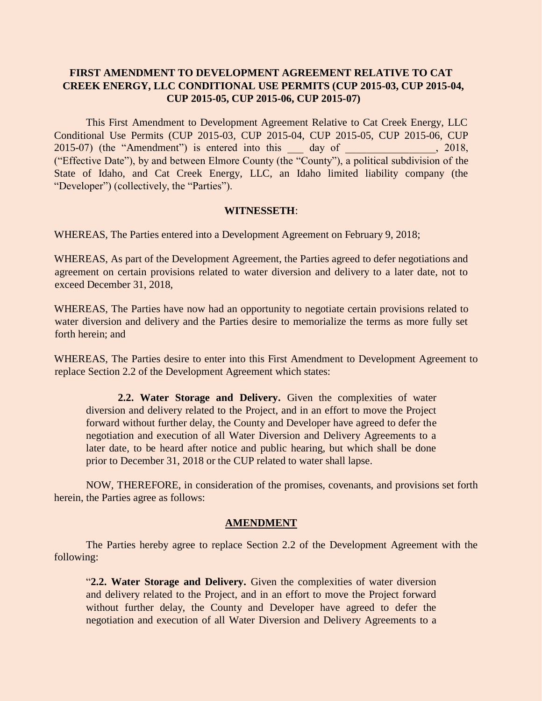## **FIRST AMENDMENT TO DEVELOPMENT AGREEMENT RELATIVE TO CAT CREEK ENERGY, LLC CONDITIONAL USE PERMITS (CUP 2015-03, CUP 2015-04, CUP 2015-05, CUP 2015-06, CUP 2015-07)**

This First Amendment to Development Agreement Relative to Cat Creek Energy, LLC Conditional Use Permits (CUP 2015-03, CUP 2015-04, CUP 2015-05, CUP 2015-06, CUP  $2015-07$ ) (the "Amendment") is entered into this day of  $\,$ , 2018, ("Effective Date"), by and between Elmore County (the "County"), a political subdivision of the State of Idaho, and Cat Creek Energy, LLC, an Idaho limited liability company (the "Developer") (collectively, the "Parties").

## **WITNESSETH**:

WHEREAS, The Parties entered into a Development Agreement on February 9, 2018;

WHEREAS, As part of the Development Agreement, the Parties agreed to defer negotiations and agreement on certain provisions related to water diversion and delivery to a later date, not to exceed December 31, 2018,

WHEREAS, The Parties have now had an opportunity to negotiate certain provisions related to water diversion and delivery and the Parties desire to memorialize the terms as more fully set forth herein; and

WHEREAS, The Parties desire to enter into this First Amendment to Development Agreement to replace Section 2.2 of the Development Agreement which states:

**2.2. Water Storage and Delivery.** Given the complexities of water diversion and delivery related to the Project, and in an effort to move the Project forward without further delay, the County and Developer have agreed to defer the negotiation and execution of all Water Diversion and Delivery Agreements to a later date, to be heard after notice and public hearing, but which shall be done prior to December 31, 2018 or the CUP related to water shall lapse.

NOW, THEREFORE, in consideration of the promises, covenants, and provisions set forth herein, the Parties agree as follows:

## **AMENDMENT**

The Parties hereby agree to replace Section 2.2 of the Development Agreement with the following:

"**2.2. Water Storage and Delivery.** Given the complexities of water diversion and delivery related to the Project, and in an effort to move the Project forward without further delay, the County and Developer have agreed to defer the negotiation and execution of all Water Diversion and Delivery Agreements to a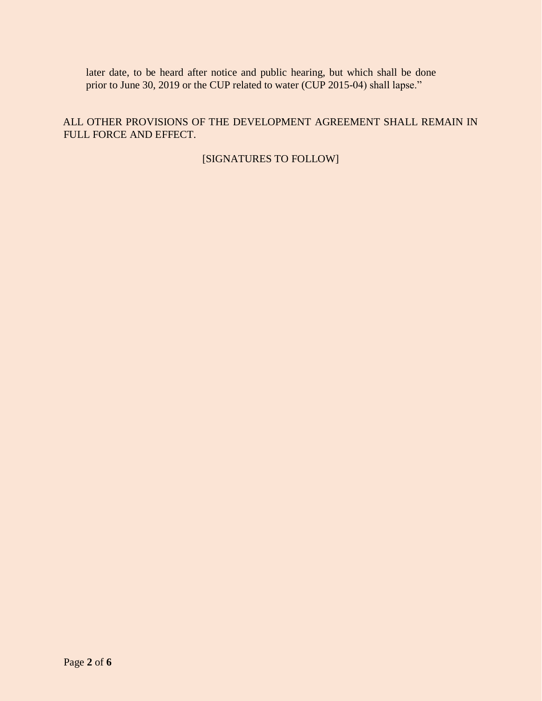later date, to be heard after notice and public hearing, but which shall be done prior to June 30, 2019 or the CUP related to water (CUP 2015-04) shall lapse."

ALL OTHER PROVISIONS OF THE DEVELOPMENT AGREEMENT SHALL REMAIN IN FULL FORCE AND EFFECT.

[SIGNATURES TO FOLLOW]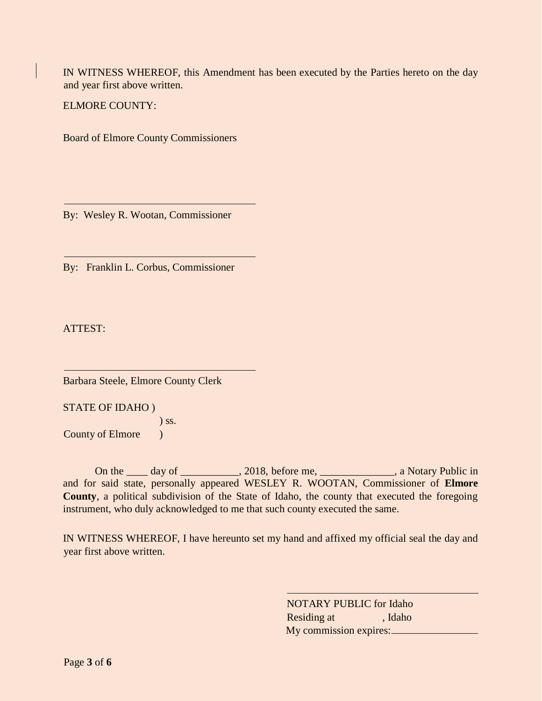IN WITNESS WHEREOF, this Amendment has been executed by the Parties hereto on the day and year first above written.

ELMORE COUNTY:

Board of Elmore County Commissioners

By: Wesley R. Wootan, Commissioner

By: Franklin L. Corbus, Commissioner

ATTEST:

Barbara Steele, Elmore County Clerk

STATE OF IDAHO )

) ss. County of Elmore (b)

On the \_\_\_\_ day of \_\_\_\_\_\_\_\_\_, 2018, before me, \_\_\_\_\_\_\_\_\_\_\_\_, a Notary Public in and for said state, personally appeared WESLEY R. WOOTAN, Commissioner of **Elmore County**, a political subdivision of the State of Idaho, the county that executed the foregoing instrument, who duly acknowledged to me that such county executed the same.

IN WITNESS WHEREOF, I have hereunto set my hand and affixed my official seal the day and year first above written.

> NOTARY PUBLIC for Idaho Residing at , Idaho My commission expires: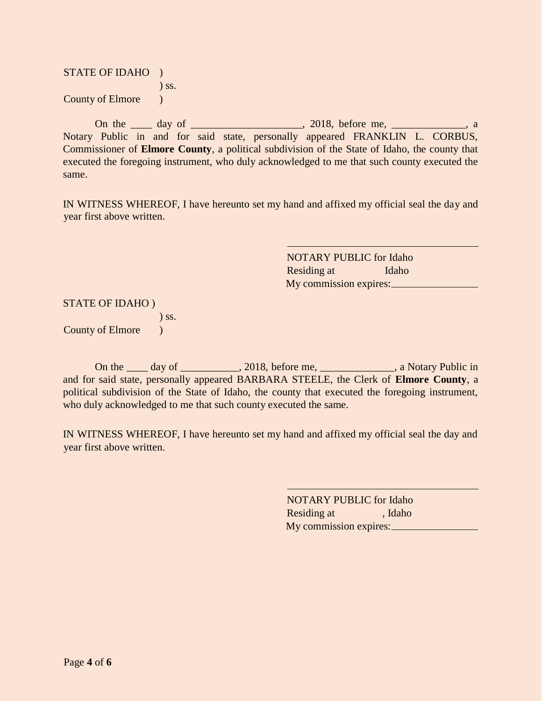| <b>STATE OF IDAHO</b>   |         |
|-------------------------|---------|
|                         | $)$ SS. |
| <b>County of Elmore</b> |         |

On the \_\_\_\_ day of \_\_\_\_\_\_\_\_\_\_\_\_\_\_\_\_\_, 2018, before me, \_\_\_\_\_\_\_\_\_\_\_\_, a Notary Public in and for said state, personally appeared FRANKLIN L. CORBUS, Commissioner of **Elmore County**, a political subdivision of the State of Idaho, the county that executed the foregoing instrument, who duly acknowledged to me that such county executed the same.

IN WITNESS WHEREOF, I have hereunto set my hand and affixed my official seal the day and year first above written.

> NOTARY PUBLIC for Idaho Residing at Idaho My commission expires:

STATE OF IDAHO )

) ss.

County of Elmore (1)

On the \_\_\_\_ day of \_\_\_\_\_\_\_\_\_\_, 2018, before me, \_\_\_\_\_\_\_\_\_\_\_\_\_, a Notary Public in and for said state, personally appeared BARBARA STEELE, the Clerk of **Elmore County**, a political subdivision of the State of Idaho, the county that executed the foregoing instrument, who duly acknowledged to me that such county executed the same.

IN WITNESS WHEREOF, I have hereunto set my hand and affixed my official seal the day and year first above written.

> NOTARY PUBLIC for Idaho Residing at , Idaho My commission expires: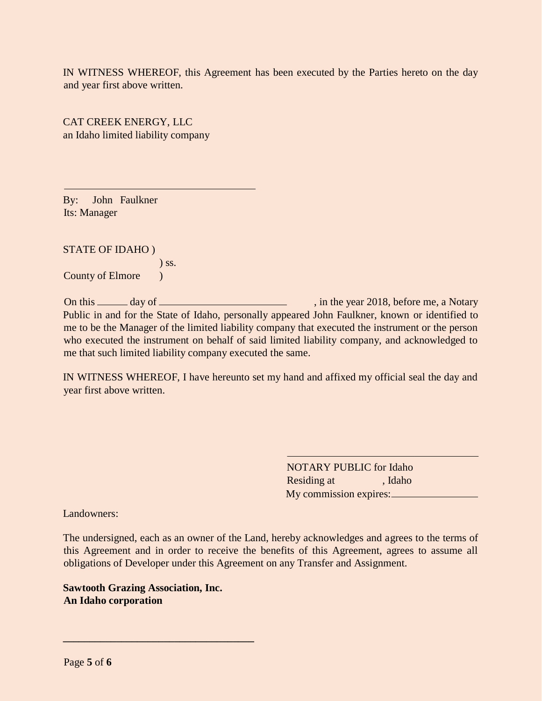IN WITNESS WHEREOF, this Agreement has been executed by the Parties hereto on the day and year first above written.

CAT CREEK ENERGY, LLC an Idaho limited liability company

By: John Faulkner Its: Manager

STATE OF IDAHO )

) ss.

County of Elmore (1)

On this <u>example of  $\frac{1}{2}$ </u> day of  $\frac{1}{2}$  , in the year 2018, before me, a Notary Public in and for the State of Idaho, personally appeared John Faulkner, known or identified to me to be the Manager of the limited liability company that executed the instrument or the person who executed the instrument on behalf of said limited liability company, and acknowledged to me that such limited liability company executed the same.

IN WITNESS WHEREOF, I have hereunto set my hand and affixed my official seal the day and year first above written.

> NOTARY PUBLIC for Idaho Residing at , Idaho My commission expires:

Landowners:

The undersigned, each as an owner of the Land, hereby acknowledges and agrees to the terms of this Agreement and in order to receive the benefits of this Agreement, agrees to assume all obligations of Developer under this Agreement on any Transfer and Assignment.

**Sawtooth Grazing Association, Inc. An Idaho corporation**

**\_\_\_\_\_\_\_\_\_\_\_\_\_\_\_\_\_\_\_\_\_\_\_\_\_\_\_\_\_\_\_\_\_\_\_\_**